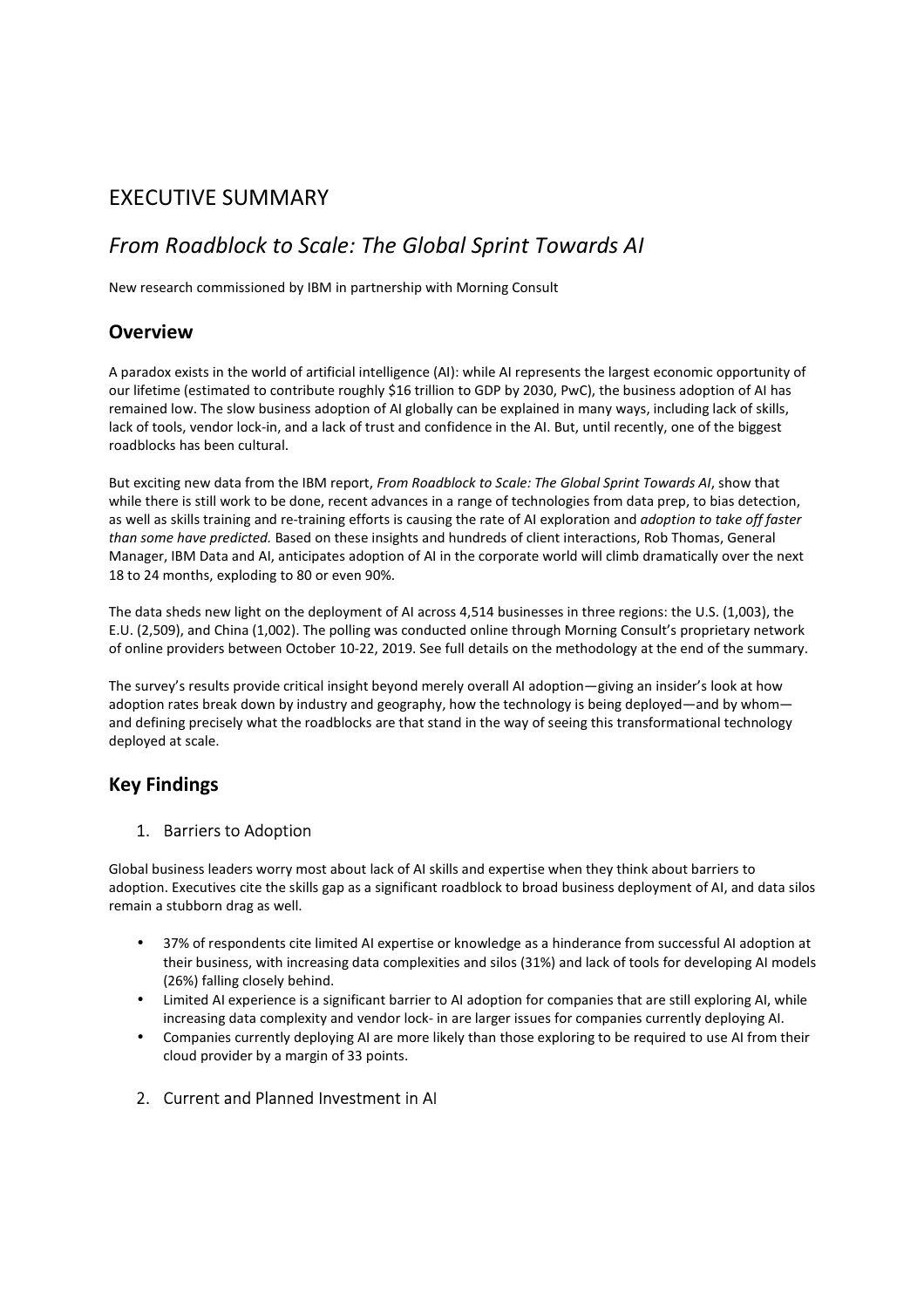# EXECUTIVE SUMMARY

# *From Roadblock to Scale: The Global Sprint Towards AI*

New research commissioned by IBM in partnership with Morning Consult

### **Overview**

A paradox exists in the world of artificial intelligence (AI): while AI represents the largest economic opportunity of our lifetime (estimated to contribute roughly \$16 trillion to GDP by 2030, PwC), the business adoption of AI has remained low. The slow business adoption of AI globally can be explained in many ways, including lack of skills, lack of tools, vendor lock-in, and a lack of trust and confidence in the AI. But, until recently, one of the biggest roadblocks has been cultural.

But exciting new data from the IBM report, *From Roadblock to Scale: The Global Sprint Towards AI*, show that while there is still work to be done, recent advances in a range of technologies from data prep, to bias detection, as well as skills training and re-training efforts is causing the rate of AI exploration and *adoption to take off faster than some have predicted.* Based on these insights and hundreds of client interactions, Rob Thomas, General Manager, IBM Data and AI, anticipates adoption of AI in the corporate world will climb dramatically over the next 18 to 24 months, exploding to 80 or even 90%.

The data sheds new light on the deployment of AI across 4,514 businesses in three regions: the U.S. (1,003), the E.U. (2,509), and China (1,002). The polling was conducted online through Morning Consult's proprietary network of online providers between October 10-22, 2019. See full details on the methodology at the end of the summary.

The survey's results provide critical insight beyond merely overall AI adoption—giving an insider's look at how adoption rates break down by industry and geography, how the technology is being deployed—and by whom and defining precisely what the roadblocks are that stand in the way of seeing this transformational technology deployed at scale.

# **Key Findings**

#### 1. Barriers to Adoption

Global business leaders worry most about lack of AI skills and expertise when they think about barriers to adoption. Executives cite the skills gap as a significant roadblock to broad business deployment of AI, and data silos remain a stubborn drag as well.

- 37% of respondents cite limited AI expertise or knowledge as a hinderance from successful AI adoption at their business, with increasing data complexities and silos (31%) and lack of tools for developing AI models (26%) falling closely behind.
- Limited AI experience is a significant barrier to AI adoption for companies that are still exploring AI, while increasing data complexity and vendor lock- in are larger issues for companies currently deploying AI.
- Companies currently deploying AI are more likely than those exploring to be required to use AI from their cloud provider by a margin of 33 points.
- 2. Current and Planned Investment in AI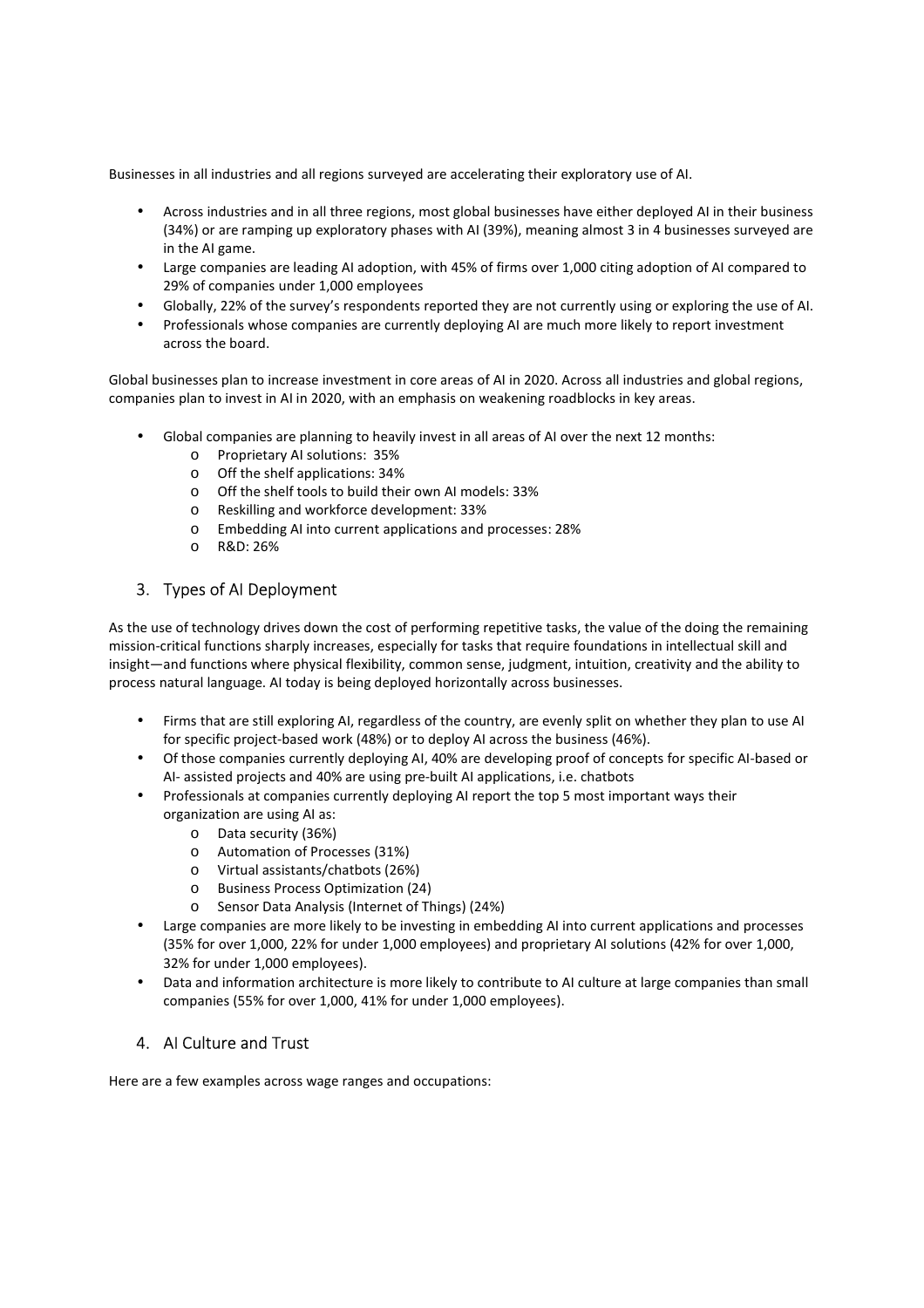Businesses in all industries and all regions surveyed are accelerating their exploratory use of AI.

- Across industries and in all three regions, most global businesses have either deployed AI in their business (34%) or are ramping up exploratory phases with AI (39%), meaning almost 3 in 4 businesses surveyed are in the AI game.
- Large companies are leading AI adoption, with 45% of firms over 1,000 citing adoption of AI compared to 29% of companies under 1,000 employees
- Globally, 22% of the survey's respondents reported they are not currently using or exploring the use of AI.
- Professionals whose companies are currently deploying AI are much more likely to report investment across the board.

Global businesses plan to increase investment in core areas of AI in 2020. Across all industries and global regions, companies plan to invest in AI in 2020, with an emphasis on weakening roadblocks in key areas.

- Global companies are planning to heavily invest in all areas of AI over the next 12 months:
	- o Proprietary AI solutions: 35%
	- o Off the shelf applications: 34%
	- o Off the shelf tools to build their own AI models: 33%
	- o Reskilling and workforce development: 33%
	- o Embedding AI into current applications and processes: 28%
	- o R&D: 26%

### 3. Types of AI Deployment

As the use of technology drives down the cost of performing repetitive tasks, the value of the doing the remaining mission-critical functions sharply increases, especially for tasks that require foundations in intellectual skill and insight—and functions where physical flexibility, common sense, judgment, intuition, creativity and the ability to process natural language. AI today is being deployed horizontally across businesses.

- Firms that are still exploring AI, regardless of the country, are evenly split on whether they plan to use AI for specific project-based work (48%) or to deploy AI across the business (46%).
- Of those companies currently deploying AI, 40% are developing proof of concepts for specific AI-based or AI- assisted projects and 40% are using pre-built AI applications, i.e. chatbots
- Professionals at companies currently deploying AI report the top 5 most important ways their organization are using AI as:
	- o Data security (36%)
	- o Automation of Processes (31%)
	- o Virtual assistants/chatbots (26%)
	- o Business Process Optimization (24)
	- o Sensor Data Analysis (Internet of Things) (24%)
- Large companies are more likely to be investing in embedding AI into current applications and processes (35% for over 1,000, 22% for under 1,000 employees) and proprietary AI solutions (42% for over 1,000, 32% for under 1,000 employees).
- Data and information architecture is more likely to contribute to AI culture at large companies than small companies (55% for over 1,000, 41% for under 1,000 employees).

#### 4. AI Culture and Trust

Here are a few examples across wage ranges and occupations: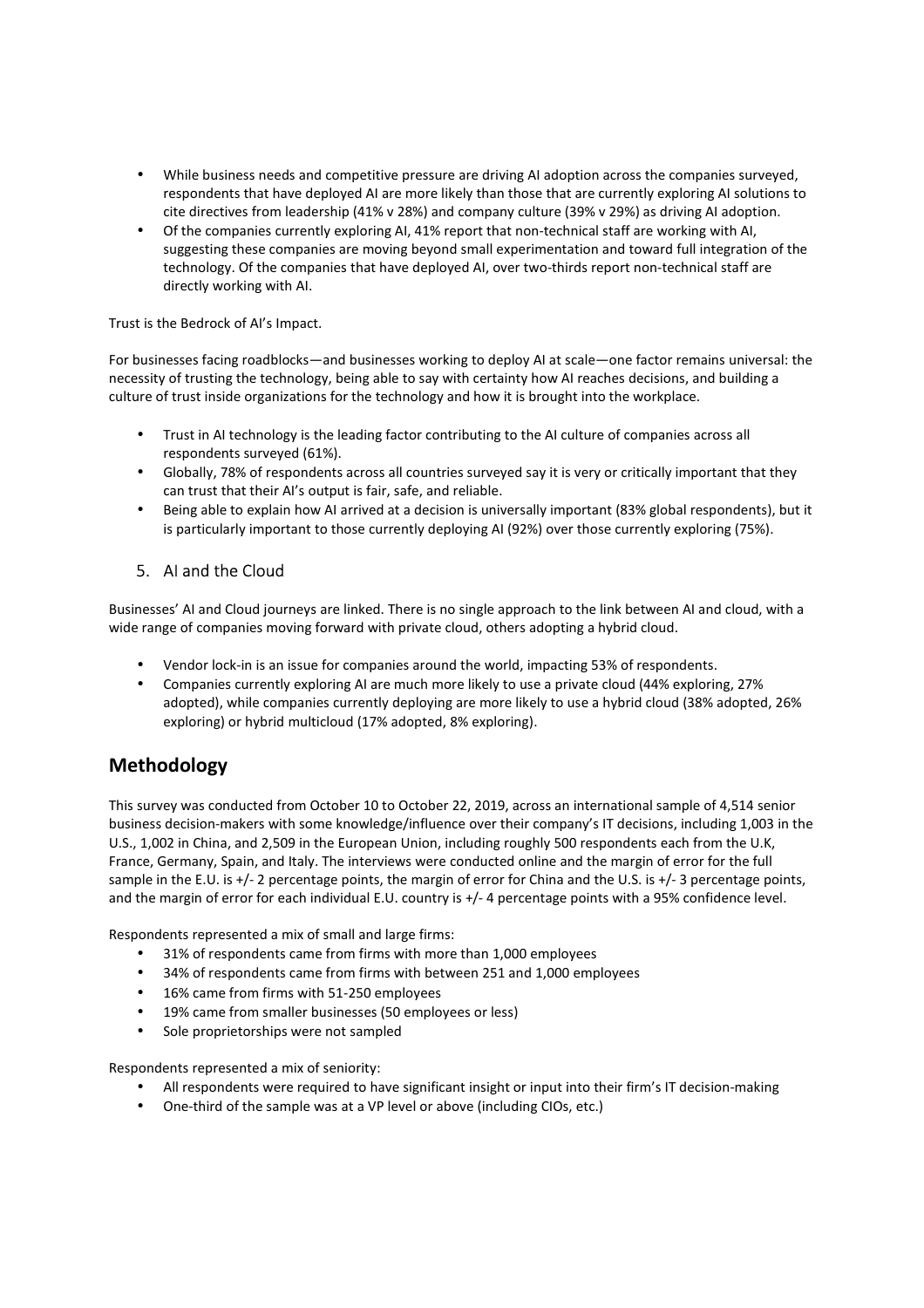- While business needs and competitive pressure are driving AI adoption across the companies surveyed, respondents that have deployed AI are more likely than those that are currently exploring AI solutions to cite directives from leadership (41% v 28%) and company culture (39% v 29%) as driving AI adoption.
- Of the companies currently exploring AI, 41% report that non-technical staff are working with AI, suggesting these companies are moving beyond small experimentation and toward full integration of the technology. Of the companies that have deployed AI, over two-thirds report non-technical staff are directly working with AI.

Trust is the Bedrock of AI's Impact.

For businesses facing roadblocks—and businesses working to deploy AI at scale—one factor remains universal: the necessity of trusting the technology, being able to say with certainty how AI reaches decisions, and building a culture of trust inside organizations for the technology and how it is brought into the workplace.

- Trust in AI technology is the leading factor contributing to the AI culture of companies across all respondents surveyed (61%).
- Globally, 78% of respondents across all countries surveyed say it is very or critically important that they can trust that their AI's output is fair, safe, and reliable.
- Being able to explain how AI arrived at a decision is universally important (83% global respondents), but it is particularly important to those currently deploying AI (92%) over those currently exploring (75%).

### 5. AI and the Cloud

Businesses' AI and Cloud journeys are linked. There is no single approach to the link between AI and cloud, with a wide range of companies moving forward with private cloud, others adopting a hybrid cloud.

- Vendor lock-in is an issue for companies around the world, impacting 53% of respondents.
- Companies currently exploring AI are much more likely to use a private cloud (44% exploring, 27% adopted), while companies currently deploying are more likely to use a hybrid cloud (38% adopted, 26% exploring) or hybrid multicloud (17% adopted, 8% exploring).

# **Methodology**

This survey was conducted from October 10 to October 22, 2019, across an international sample of 4,514 senior business decision-makers with some knowledge/influence over their company's IT decisions, including 1,003 in the U.S., 1,002 in China, and 2,509 in the European Union, including roughly 500 respondents each from the U.K, France, Germany, Spain, and Italy. The interviews were conducted online and the margin of error for the full sample in the E.U. is +/- 2 percentage points, the margin of error for China and the U.S. is +/- 3 percentage points, and the margin of error for each individual E.U. country is +/- 4 percentage points with a 95% confidence level.

Respondents represented a mix of small and large firms:

- 31% of respondents came from firms with more than 1,000 employees
- 34% of respondents came from firms with between 251 and 1,000 employees
- 16% came from firms with 51-250 employees
- 19% came from smaller businesses (50 employees or less)
- Sole proprietorships were not sampled

Respondents represented a mix of seniority:

- All respondents were required to have significant insight or input into their firm's IT decision-making
- One-third of the sample was at a VP level or above (including CIOs, etc.)